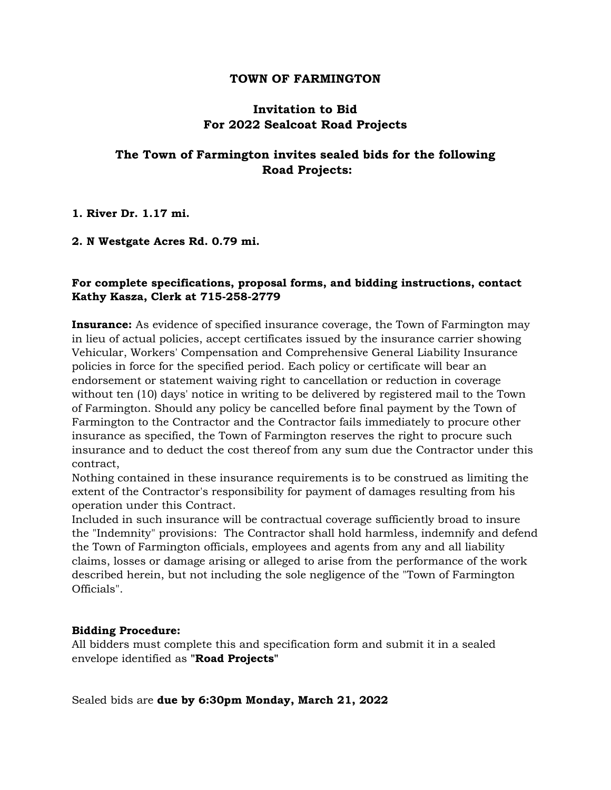#### **TOWN OF FARMINGTON**

## **Invitation to Bid For 2022 Sealcoat Road Projects**

# **The Town of Farmington invites sealed bids for the following Road Projects:**

**1. River Dr. 1.17 mi.**

#### **2. N Westgate Acres Rd. 0.79 mi.**

### **For complete specifications, proposal forms, and bidding instructions, contact Kathy Kasza, Clerk at 715-258-2779**

**Insurance:** As evidence of specified insurance coverage, the Town of Farmington may in lieu of actual policies, accept certificates issued by the insurance carrier showing Vehicular, Workers' Compensation and Comprehensive General Liability Insurance policies in force for the specified period. Each policy or certificate will bear an endorsement or statement waiving right to cancellation or reduction in coverage without ten (10) days' notice in writing to be delivered by registered mail to the Town of Farmington. Should any policy be cancelled before final payment by the Town of Farmington to the Contractor and the Contractor fails immediately to procure other insurance as specified, the Town of Farmington reserves the right to procure such insurance and to deduct the cost thereof from any sum due the Contractor under this contract,

Nothing contained in these insurance requirements is to be construed as limiting the extent of the Contractor's responsibility for payment of damages resulting from his operation under this Contract.

Included in such insurance will be contractual coverage sufficiently broad to insure the "Indemnity" provisions: The Contractor shall hold harmless, indemnify and defend the Town of Farmington officials, employees and agents from any and all liability claims, losses or damage arising or alleged to arise from the performance of the work described herein, but not including the sole negligence of the "Town of Farmington Officials".

#### **Bidding Procedure:**

All bidders must complete this and specification form and submit it in a sealed envelope identified as **"Road Projects"**

Sealed bids are **due by 6:30pm Monday, March 21, 2022**